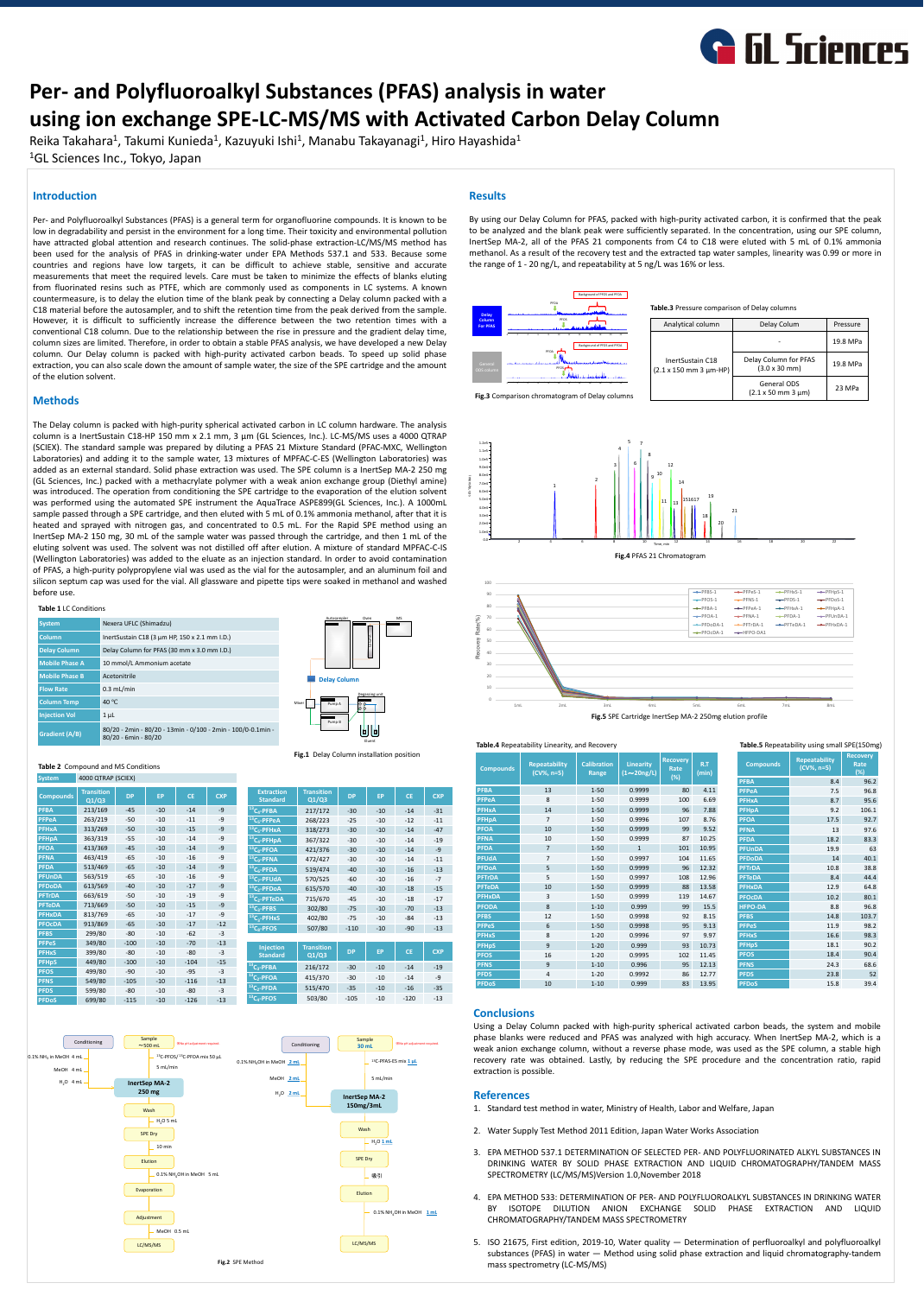

# **Per- and Polyfluoroalkyl Substances (PFAS) analysis in water using ion exchange SPE-LC-MS/MS with Activated Carbon Delay Column**

Reika Takahara<sup>1</sup>, Takumi Kunieda<sup>1</sup>, Kazuyuki Ishi<sup>1</sup>, Manabu Takayanagi<sup>1</sup>, Hiro Hayashida<sup>1</sup> <sup>1</sup>GL Sciences Inc., Tokyo, Japan

## **Introduction**

Per- and Polyfluoroalkyl Substances (PFAS) is a general term for organofluorine compounds. It is known to be low in degradability and persist in the environment for a long time. Their toxicity and environmental pollution have attracted global attention and research continues. The solid-phase extraction-LC/MS/MS method has been used for the analysis of PFAS in drinking-water under EPA Methods 537.1 and 533. Because some countries and regions have low targets, it can be difficult to achieve stable, sensitive and accurate measurements that meet the required levels. Care must be taken to minimize the effects of blanks eluting from fluorinated resins such as PTFE, which are commonly used as components in LC systems. A known countermeasure, is to delay the elution time of the blank peak by connecting a Delay column packed with a C18 material before the autosampler, and to shift the retention time from the peak derived from the sample. However, it is difficult to sufficiently increase the difference between the two retention times with a conventional C18 column. Due to the relationship between the rise in pressure and the gradient delay time, column sizes are limited. Therefore, in order to obtain a stable PFAS analysis, we have developed a new Delay column. Our Delay column is packed with high-purity activated carbon beads. To speed up solid phase extraction, you can also scale down the amount of sample water, the size of the SPE cartridge and the amount of the elution solvent.

## **Methods**

The Delay column is packed with high-purity spherical activated carbon in LC column hardware. The analysis column is a InertSustain C18-HP 150 mm x 2.1 mm, 3 μm (GL Sciences, Inc.). LC-MS/MS uses a 4000 QTRAP (SCIEX). The standard sample was prepared by diluting a PFAS 21 Mixture Standard (PFAC-MXC, Wellington Laboratories) and adding it to the sample water, 13 mixtures of MPFAC-C-ES (Wellington Laboratories) was added as an external standard. Solid phase extraction was used. The SPE column is a InertSep MA-2 250 mg (GL Sciences, Inc.) packed with a methacrylate polymer with a weak anion exchange group (Diethyl amine) was introduced. The operation from conditioning the SPE cartridge to the evaporation of the elution solvent was performed using the automated SPE instrument the AquaTrace ASPE899(GL Sciences, Inc.). A 1000mL sample passed through a SPE cartridge, and then eluted with 5 mL of 0.1% ammonia methanol, after that it is heated and sprayed with nitrogen gas, and concentrated to 0.5 mL. For the Rapid SPE method using an InertSep MA-2 150 mg, 30 mL of the sample water was passed through the cartridge, and then 1 mL of the eluting solvent was used. The solvent was not distilled off after elution. A mixture of standard MPFAC-C-IS (Wellington Laboratories) was added to the eluate as an injection standard. In order to avoid contamination of PFAS, a high-purity polypropylene vial was used as the vial for the autosampler, and an aluminum foil and silicon septum cap was used for the vial. All glassware and pipette tips were soaked in methanol and washed before use.

| <b>System</b>         | Nexera UFLC (Shimadzu)                             |
|-----------------------|----------------------------------------------------|
| <b>Column</b>         | InertSustain C18 (3 $\mu$ m HP, 150 x 2.1 mm I.D.) |
| <b>Delay Column</b>   | Delay Column for PFAS (30 mm x 3.0 mm I.D.)        |
| <b>Mobile Phase A</b> | 10 mmol/L Ammonium acetate                         |
| <b>Mobile Phase B</b> | Acetonitrile                                       |
| <b>Flow Rate</b>      | $0.3$ mL/min                                       |

| <b>Column Temp</b>    | 40 $\degree$ C                                                                       | -N |
|-----------------------|--------------------------------------------------------------------------------------|----|
| Injection Vol         | $1 \mu L$                                                                            |    |
| <b>Gradient (A/B)</b> | 80/20 - 2min - 80/20 - 13min - 0/100 - 2min - 100/0-0.1min -<br>80/20 - 6min - 80/20 |    |

### **Table 1** LC Conditions

## **Results**

By using our Delay Column for PFAS, packed with high-purity activated carbon, it is confirmed that the peak to be analyzed and the blank peak were sufficiently separated. In the concentration, using our SPE column, InertSep MA-2, all of the PFAS 21 components from C4 to C18 were eluted with 5 mL of 0.1% ammonia methanol. As a result of the recovery test and the extracted tap water samples, linearity was 0.99 or more in the range of 1 - 20 ng/L, and repeatability at 5 ng/L was 16% or less.

### **Conclusions**

Using a Delay Column packed with high-purity spherical activated carbon beads, the system and mobile phase blanks were reduced and PFAS was analyzed with high accuracy. When InertSep MA-2, which is a weak anion exchange column, without a reverse phase mode, was used as the SPE column, a stable high recovery rate was obtained. Lastly, by reducing the SPE procedure and the concentration ratio, rapid extraction is possible.

## **References**

- 1. Standard test method in water, Ministry of Health, Labor and Welfare, Japan
- 2. Water Supply Test Method 2011 Edition, Japan Water Works Association
- 3. EPA METHOD 537.1 DETERMINATION OF SELECTED PER- AND POLYFLUORINATED ALKYL SUBSTANCES IN DRINKING WATER BY SOLID PHASE EXTRACTION AND LIQUID CHROMATOGRAPHY/TANDEM MASS SPECTROMETRY (LC/MS/MS)Version 1.0,November 2018
- 4. EPA METHOD 533: DETERMINATION OF PER- AND POLYFLUOROALKYL SUBSTANCES IN DRINKING WATER BY ISOTOPE DILUTION ANION EXCHANGE SOLID PHASE EXTRACTION AND LIQUID CHROMATOGRAPHY/TANDEM MASS SPECTROMETRY
- 5. ISO 21675, First edition, 2019-10, Water quality Determination of perfluoroalkyl and polyfluoroalkyl substances (PFAS) in water — Method using solid phase extraction and liquid chromatography-tandem mass spectrometry (LC-MS/MS)

### **Fig.3** Comparison chromatogram of Delay columns

| Analytical column | Delay Colum | Pressure |
|-------------------|-------------|----------|
|                   | -           | 19.8 MPa |

### **Table.3** Pressure comparison of Delay columns

### **Table.4** Repeatability Linearity, and Recovery





### **Fig.1** Delay Column installation position



### **Table.5** Repeatability using small SPE(150mg)

| <b>System</b>    | 4000 QTRAP (SCIEX)         |           |           |           |            |  |
|------------------|----------------------------|-----------|-----------|-----------|------------|--|
| <b>Compounds</b> | <b>Transition</b><br>Q1/Q3 | <b>DP</b> | <b>EP</b> | <b>CE</b> | <b>CXP</b> |  |
| <b>PFBA</b>      | 213/169                    | $-45$     | $-10$     | $-14$     | $-9$       |  |
| <b>PFPeA</b>     | 263/219                    | $-50$     | $-10$     | $-11$     | $-9$       |  |
| <b>PFHxA</b>     | 313/269                    | $-50$     | $-10$     | $-15$     | $-9$       |  |
| <b>PFHpA</b>     | 363/319                    | $-55$     | $-10$     | $-14$     | $-9$       |  |
| <b>PFOA</b>      | 413/369                    | $-45$     | $-10$     | $-14$     | $-9$       |  |
| <b>PFNA</b>      | 463/419                    | $-65$     | $-10$     | $-16$     | $-9$       |  |
| <b>PFDA</b>      | 513/469                    | $-65$     | $-10$     | $-14$     | $-9$       |  |
| <b>PFUnDA</b>    | 563/519                    | $-65$     | $-10$     | $-16$     | $-9$       |  |
| <b>PFDoDA</b>    | 613/569                    | $-40$     | $-10$     | $-17$     | $-9$       |  |
| <b>PFTrDA</b>    | 663/619                    | $-50$     | $-10$     | $-19$     | $-9$       |  |
| <b>PFTeDA</b>    | 713/669                    | $-50$     | $-10$     | $-15$     | $-9$       |  |
| <b>PFHxDA</b>    | 813/769                    | $-65$     | $-10$     | $-17$     | $-9$       |  |
| <b>PFOcDA</b>    | 913/869                    | $-65$     | $-10$     | $-17$     | $-12$      |  |
| <b>PFBS</b>      | 299/80                     | $-80$     | $-10$     | $-62$     | $-3$       |  |
| <b>PFPeS</b>     | 349/80                     | $-100$    | $-10$     | $-70$     | $-13$      |  |
| <b>PFHxS</b>     | 399/80                     | $-80$     | $-10$     | $-80$     | $-3$       |  |
| <b>PFHpS</b>     | 449/80                     | $-100$    | $-10$     | $-104$    | $-15$      |  |
| <b>PFOS</b>      | 499/80                     | $-90$     | $-10$     | $-95$     | $-3$       |  |
| <b>PFNS</b>      | 549/80                     | $-105$    | $-10$     | $-116$    | $-13$      |  |
| <b>PFDS</b>      | 599/80                     | $-80$     | $-10$     | $-80$     | $-3$       |  |
| <b>PFDoS</b>     | 699/80                     | $-115$    | $-10$     | $-126$    | $-13$      |  |

| <b>Extraction</b><br><b>Standard</b> | <b>Transition</b><br>Q1/Q3 | <b>DP</b> | <b>EP</b> | <b>CE</b> | <b>CXP</b> |
|--------------------------------------|----------------------------|-----------|-----------|-----------|------------|
| $13C_4$ -PFBA                        | 217/172                    | $-30$     | $-10$     | $-14$     | $-31$      |
| $^{13}C_5$ -PFPeA                    | 268/223                    | $-25$     | $-10$     | $-12$     | $-11$      |
| $13C5$ -PFHxA                        | 318/273                    | $-30$     | $-10$     | $-14$     | $-47$      |
| $^{13}C_4$ -PFHpA                    | 367/322                    | $-30$     | $-10$     | $-14$     | $-19$      |
| $13C_8$ -PFOA                        | 421/376                    | $-30$     | $-10$     | $-14$     | $-9$       |
| $13C_9$ -PFNA                        | 472/427                    | $-30$     | $-10$     | $-14$     | $-11$      |
| $13C_6$ -PFDA                        | 519/474                    | $-40$     | $-10$     | $-16$     | $-13$      |
| $13C_7$ -PFUdA                       | 570/525                    | $-60$     | $-10$     | $-16$     | $-7$       |
| $13C_2$ -PFDoA                       | 615/570                    | $-40$     | $-10$     | $-18$     | $-15$      |
| $13C_2$ -PFTeDA                      | 715/670                    | $-45$     | $-10$     | $-18$     | $-17$      |
| $^{13}C_3$ -PFBS                     | 302/80                     | $-75$     | $-10$     | $-70$     | $-13$      |
| $13C_3$ -PFHxS                       | 402/80                     | $-75$     | $-10$     | $-84$     | $-13$      |
| $^{13}C_8$ -PFOS                     | 507/80                     | $-110$    | $-10$     | $-90$     | $-13$      |
|                                      |                            |           |           |           |            |
| Injection                            | <b>Transition</b>          |           |           |           |            |

| <b>Injection</b><br><b>Standard</b> | <b>Transition</b><br>Q1/Q3 | <b>DP</b> | <b>EP</b> | <b>CE</b> | <b>CXP</b> |
|-------------------------------------|----------------------------|-----------|-----------|-----------|------------|
| $^{13}C_3$ -PFBA                    | 216/172                    | $-30$     | $-10$     | $-14$     | $-19$      |
| $^{13}C_2$ -PFOA                    | 415/370                    | $-30$     | $-10$     | $-14$     | $-9$       |
| $^{13}C_{2}$ -PFDA                  | 515/470                    | $-35$     | $-10$     | $-16$     | $-35$      |
| $13C_4$ -PFOS                       | 503/80                     | $-105$    | $-10$     | $-120$    | $-13$      |







| <b>Compounds</b> | <b>Repeatability</b><br>$(CV\%, n=5)$ | <b>Calibration</b><br><b>Range</b> | <b>Linearity</b><br>$(1\sim 20$ ng/L) | <b>Recovery</b><br>Rate<br>$(\%)$ | R.T<br>(min) | <b>Compounds</b> | <b>Repeatability</b><br>$(CV\%, n=5)$ | <b>Recovery</b><br>Rate<br>(%) |
|------------------|---------------------------------------|------------------------------------|---------------------------------------|-----------------------------------|--------------|------------------|---------------------------------------|--------------------------------|
|                  |                                       |                                    |                                       |                                   |              | <b>PFBA</b>      | 8.4                                   | 96.2                           |
| <b>PFBA</b>      | 13                                    | $1 - 50$                           | 0.9999                                | 80                                | 4.11         | <b>PFPeA</b>     | 7.5                                   | 96.8                           |
| <b>PFPeA</b>     | 8                                     | $1 - 50$                           | 0.9999                                | 100                               | 6.69         | <b>PFHxA</b>     | 8.7                                   | 95.6                           |
| <b>PFHxA</b>     | 14                                    | $1 - 50$                           | 0.9999                                | 96                                | 7.88         | <b>PFHpA</b>     | 9.2                                   | 106.1                          |
| <b>PFHpA</b>     | $\overline{7}$                        | $1 - 50$                           | 0.9996                                | 107                               | 8.76         | <b>PFOA</b>      | 17.5                                  | 92.7                           |
| <b>PFOA</b>      | 10                                    | $1 - 50$                           | 0.9999                                | 99                                | 9.52         | <b>PFNA</b>      | 13                                    | 97.6                           |
| <b>PFNA</b>      | 10                                    | $1 - 50$                           | 0.9999                                | 87                                | 10.25        | <b>PFDA</b>      | 18.2                                  | 83.3                           |
| <b>PFDA</b>      | $\overline{7}$                        | $1 - 50$                           | $\mathbf{1}$                          | 101                               | 10.95        | <b>PFUnDA</b>    | 19.9                                  | 63                             |
| <b>PFUdA</b>     | $\overline{7}$                        | $1 - 50$                           | 0.9997                                | 104                               | 11.65        | <b>PFDoDA</b>    | 14                                    | 40.1                           |
| <b>PFDoA</b>     | 5                                     | $1 - 50$                           | 0.9999                                | 96                                | 12.32        | <b>PFTrDA</b>    | 10.8                                  | 38.8                           |
| <b>PFTrDA</b>    | 5                                     | $1 - 50$                           | 0.9997                                | 108                               | 12.96        | <b>PFTeDA</b>    | 8.4                                   | 44.4                           |
| <b>PFTeDA</b>    | 10                                    | $1 - 50$                           | 0.9999                                | 88                                | 13.58        | <b>PFHxDA</b>    | 12.9                                  | 64.8                           |
| <b>PFHxDA</b>    | 3                                     | $1 - 50$                           | 0.9999                                | 119                               | 14.67        | <b>PFOCDA</b>    | 10.2                                  | 80.1                           |
| <b>PFODA</b>     | 8                                     | $1 - 10$                           | 0.999                                 | 99                                | 15.5         | <b>HFPO-DA</b>   | 8.8                                   | 96.8                           |
| <b>PFBS</b>      | 12                                    | $1 - 50$                           | 0.9998                                | 92                                | 8.15         | <b>PFBS</b>      | 14.8                                  | 103.7                          |
| <b>PFPeS</b>     | 6                                     | $1 - 50$                           | 0.9998                                | 95                                | 9.13         | <b>PFPeS</b>     | 11.9                                  | 98.2                           |
| <b>PFHxS</b>     | 8                                     | $1 - 20$                           | 0.9996                                | 97                                | 9.97         | <b>PFHxS</b>     | 16.6                                  | 98.3                           |
| <b>PFHpS</b>     | 9                                     | $1 - 20$                           | 0.999                                 | 93                                | 10.73        | <b>PFHpS</b>     | 18.1                                  | 90.2                           |
| <b>PFOS</b>      | 16                                    | $1 - 20$                           | 0.9995                                | 102                               | 11.45        | <b>PFOS</b>      | 18.4                                  | 90.4                           |
| <b>PFNS</b>      | 9                                     | $1 - 10$                           | 0.996                                 | 95                                | 12.13        | <b>PFNS</b>      | 24.3                                  | 68.6                           |
| <b>PFDS</b>      | 4                                     | $1 - 20$                           | 0.9992                                | 86                                | 12.77        | <b>PFDS</b>      | 23.8                                  | 52                             |
| <b>PFDoS</b>     | 10                                    | $1 - 10$                           | 0.999                                 | 83                                | 13.95        | <b>PFDoS</b>     | 15.8                                  | 39.4                           |
|                  |                                       |                                    |                                       |                                   |              |                  |                                       |                                |

0